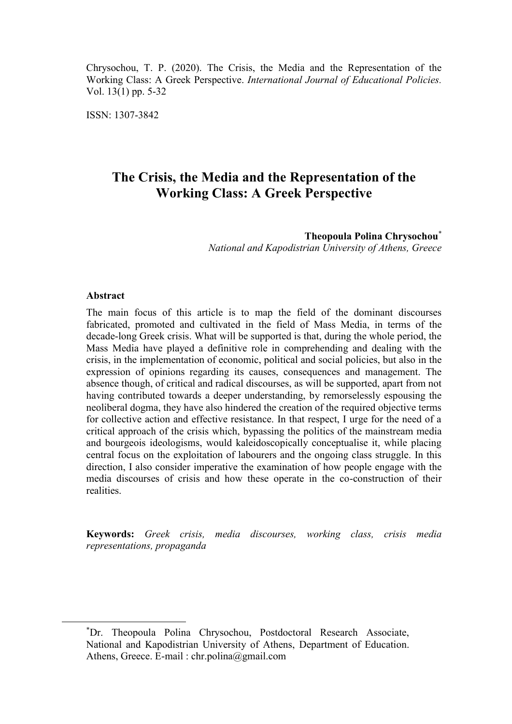Chrysochou, T. P. (2020). The Crisis, the Media and the Representation of the Working Class: A Greek Perspective. *International Journal of Educational Policies.* Vol. 13(1) pp. 5-32

ISSN: 1307-3842

# **The Crisis, the Media and the Representation of the Working Class: A Greek Perspective**

**Theopoula Polina Chrysochou**\* *National and Kapodistrian University of Athens, Greece*

#### **Abstract**

 $\overline{a}$ 

The main focus of this article is to map the field of the dominant discourses fabricated, promoted and cultivated in the field of Mass Media, in terms of the decade-long Greek crisis. What will be supported is that, during the whole period, the Mass Media have played a definitive role in comprehending and dealing with the crisis, in the implementation of economic, political and social policies, but also in the expression of opinions regarding its causes, consequences and management. The absence though, of critical and radical discourses, as will be supported, apart from not having contributed towards a deeper understanding, by remorselessly espousing the neoliberal dogma, they have also hindered the creation of the required objective terms for collective action and effective resistance. In that respect, I urge for the need of a critical approach of the crisis which, bypassing the politics of the mainstream media and bourgeois ideologisms, would kaleidoscopically conceptualise it, while placing central focus on the exploitation of labourers and the ongoing class struggle. In this direction, I also consider imperative the examination of how people engage with the media discourses of crisis and how these operate in the co-construction of their realities.

**Keywords:** *Greek crisis, media discourses, working class, crisis media representations, propaganda*

<sup>\*</sup>Dr. Theopoula Polina Chrysochou, Postdoctoral Research Associate, National and Kapodistrian University of Athens, Department of Education. Athens, Greece. E-mail : chr.polina@gmail.com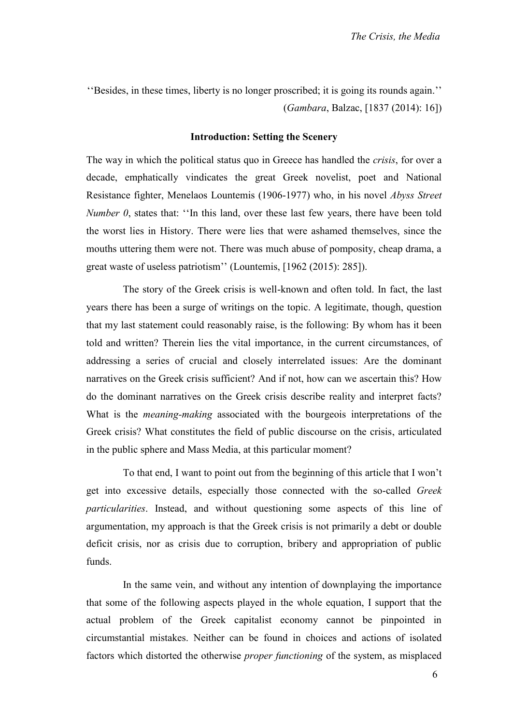''Besides, in these times, liberty is no longer proscribed; it is going its rounds again.'' (*Gambara*, Balzac, [1837 (2014): 16])

## **Introduction: Setting the Scenery**

The way in which the political status quo in Greece has handled the *crisis*, for over a decade, emphatically vindicates the great Greek novelist, poet and National Resistance fighter, Menelaos Lountemis (1906-1977) who, in his novel *Abyss Street Number 0*, states that: ''In this land, over these last few years, there have been told the worst lies in History. There were lies that were ashamed themselves, since the mouths uttering them were not. There was much abuse of pomposity, cheap drama, a great waste of useless patriotism'' (Lountemis, [1962 (2015): 285]).

The story of the Greek crisis is well-known and often told. In fact, the last years there has been a surge of writings on the topic. A legitimate, though, question that my last statement could reasonably raise, is the following: By whom has it been told and written? Therein lies the vital importance, in the current circumstances, of addressing a series of crucial and closely interrelated issues: Are the dominant narratives on the Greek crisis sufficient? And if not, how can we ascertain this? How do the dominant narratives on the Greek crisis describe reality and interpret facts? What is the *meaning-making* associated with the bourgeois interpretations of the Greek crisis? What constitutes the field of public discourse on the crisis, articulated in the public sphere and Mass Media, at this particular moment?

To that end, I want to point out from the beginning of this article that I won't get into excessive details, especially those connected with the so-called *Greek particularities*. Instead, and without questioning some aspects of this line of argumentation, my approach is that the Greek crisis is not primarily a debt or double deficit crisis, nor as crisis due to corruption, bribery and appropriation of public funds.

In the same vein, and without any intention of downplaying the importance that some of the following aspects played in the whole equation, I support that the actual problem of the Greek capitalist economy cannot be pinpointed in circumstantial mistakes. Neither can be found in choices and actions of isolated factors which distorted the otherwise *proper functioning* of the system, as misplaced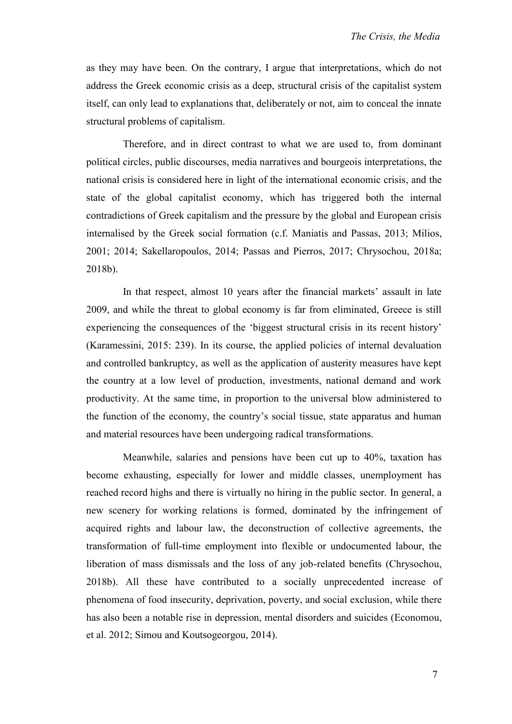as they may have been. On the contrary, I argue that interpretations, which do not address the Greek economic crisis as a deep, structural crisis of the capitalist system itself, can only lead to explanations that, deliberately or not, aim to conceal the innate structural problems of capitalism.

Therefore, and in direct contrast to what we are used to, from dominant political circles, public discourses, media narratives and bourgeois interpretations, the national crisis is considered here in light of the international economic crisis, and the state of the global capitalist economy, which has triggered both the internal contradictions of Greek capitalism and the pressure by the global and European crisis internalised by the Greek social formation (c.f. Maniatis and Passas, 2013; Milios, 2001; 2014; Sakellaropoulos, 2014; Passas and Pierros, 2017; Chrysochou, 2018a; 2018b).

In that respect, almost 10 years after the financial markets' assault in late 2009, and while the threat to global economy is far from eliminated, Greece is still experiencing the consequences of the 'biggest structural crisis in its recent history' (Karamessini, 2015: 239). In its course, the applied policies of internal devaluation and controlled bankruptcy, as well as the application of austerity measures have kept the country at a low level of production, investments, national demand and work productivity. At the same time, in proportion to the universal blow administered to the function of the economy, the country's social tissue, state apparatus and human and material resources have been undergoing radical transformations.

Meanwhile, salaries and pensions have been cut up to 40%, taxation has become exhausting, especially for lower and middle classes, unemployment has reached record highs and there is virtually no hiring in the public sector. In general, a new scenery for working relations is formed, dominated by the infringement of acquired rights and labour law, the deconstruction of collective agreements, the transformation of full-time employment into flexible or undocumented labour, the liberation of mass dismissals and the loss of any job-related benefits (Chrysochou, 2018b). All these have contributed to a socially unprecedented increase of phenomena of food insecurity, deprivation, poverty, and social exclusion, while there has also been a notable rise in depression, mental disorders and suicides (Economou, et al. 2012; Simou and Koutsogeorgou, 2014).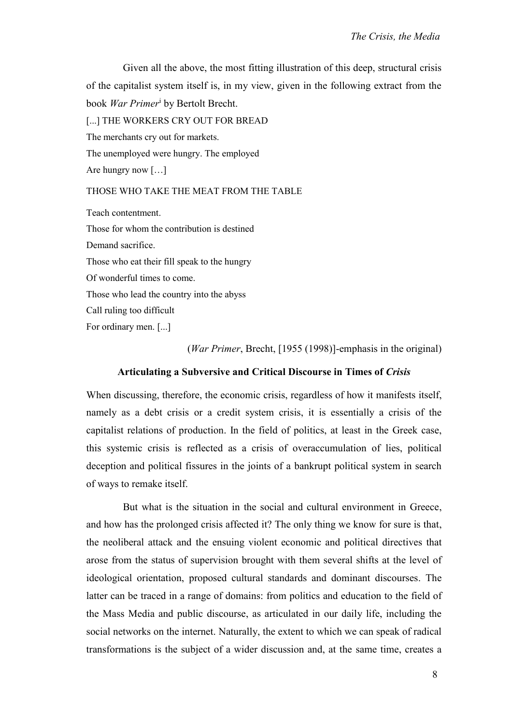Given all the above, the most fitting illustration of this deep, structural crisis of the capitalist system itself is, in my view, given in the following extract from the book *War Primer*<sup>i</sup> by Bertolt Brecht. [...] THE WORKERS CRY OUT FOR BREAD The merchants cry out for markets. The unemployed were hungry. The employed Are hungry now […]

## THOSE WHO TAKE THE MEAT FROM THE TABLE

Teach contentment. Those for whom the contribution is destined Demand sacrifice. Those who eat their fill speak to the hungry Of wonderful times to come. Those who lead the country into the abyss Call ruling too difficult For ordinary men. [...]

(*War Primer*, Brecht, [1955 (1998)]-emphasis in the original)

## **Articulating a Subversive and Critical Discourse in Times of** *Crisis*

When discussing, therefore, the economic crisis, regardless of how it manifests itself, namely as a debt crisis or a credit system crisis, it is essentially a crisis of the capitalist relations of production. In the field of politics, at least in the Greek case, this systemic crisis is reflected as a crisis of overaccumulation of lies, political deception and political fissures in the joints of a bankrupt political system in search of ways to remake itself.

But what is the situation in the social and cultural environment in Greece, and how has the prolonged crisis affected it? The only thing we know for sure is that, the neoliberal attack and the ensuing violent economic and political directives that arose from the status of supervision brought with them several shifts at the level of ideological orientation, proposed cultural standards and dominant discourses. The latter can be traced in a range of domains: from politics and education to the field of the Mass Media and public discourse, as articulated in our daily life, including the social networks on the internet. Naturally, the extent to which we can speak of radical transformations is the subject of a wider discussion and, at the same time, creates a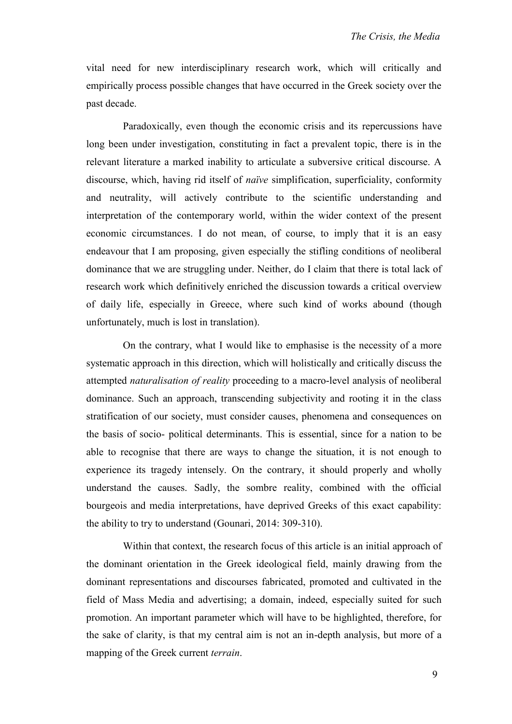vital need for new interdisciplinary research work, which will critically and empirically process possible changes that have occurred in the Greek society over the past decade.

Paradoxically, even though the economic crisis and its repercussions have long been under investigation, constituting in fact a prevalent topic, there is in the relevant literature a marked inability to articulate a subversive critical discourse. A discourse, which, having rid itself of *naïve* simplification, superficiality, conformity and neutrality, will actively contribute to the scientific understanding and interpretation of the contemporary world, within the wider context of the present economic circumstances. I do not mean, of course, to imply that it is an easy endeavour that I am proposing, given especially the stifling conditions of neoliberal dominance that we are struggling under. Neither, do I claim that there is total lack of research work which definitively enriched the discussion towards a critical overview of daily life, especially in Greece, where such kind of works abound (though unfortunately, much is lost in translation).

On the contrary, what I would like to emphasise is the necessity of a more systematic approach in this direction, which will holistically and critically discuss the attempted *naturalisation of reality* proceeding to a macro-level analysis of neoliberal dominance. Such an approach, transcending subjectivity and rooting it in the class stratification of our society, must consider causes, phenomena and consequences on the basis of socio- political determinants. This is essential, since for a nation to be able to recognise that there are ways to change the situation, it is not enough to experience its tragedy intensely. On the contrary, it should properly and wholly understand the causes. Sadly, the sombre reality, combined with the official bourgeois and media interpretations, have deprived Greeks of this exact capability: the ability to try to understand (Gounari, 2014: 309-310).

Within that context, the research focus of this article is an initial approach of the dominant orientation in the Greek ideological field, mainly drawing from the dominant representations and discourses fabricated, promoted and cultivated in the field of Mass Media and advertising; a domain, indeed, especially suited for such promotion. An important parameter which will have to be highlighted, therefore, for the sake of clarity, is that my central aim is not an in-depth analysis, but more of a mapping of the Greek current *terrain*.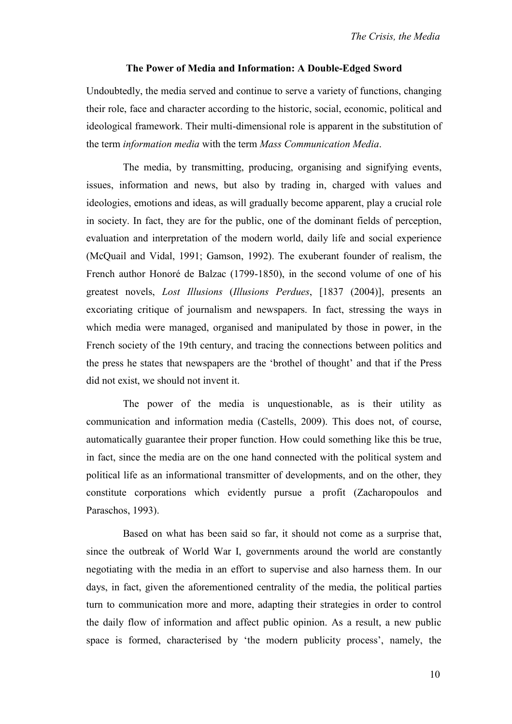## **The Power of Media and Information: A Double-Edged Sword**

Undoubtedly, the media served and continue to serve a variety of functions, changing their role, face and character according to the historic, social, economic, political and ideological framework. Their multi-dimensional role is apparent in the substitution of the term *information media* with the term *Mass Communication Media*.

The media, by transmitting, producing, organising and signifying events, issues, information and news, but also by trading in, charged with values and ideologies, emotions and ideas, as will gradually become apparent, play a crucial role in society. In fact, they are for the public, one of the dominant fields of perception, evaluation and interpretation of the modern world, daily life and social experience (McQuail and Vidal, 1991; Gamson, 1992). The exuberant founder of realism, the French author Honoré de Balzac (1799-1850), in the second volume of one of his greatest novels, *Lost Illusions* (*Illusions Perdues*, [1837 (2004)], presents an excoriating critique of journalism and newspapers. In fact, stressing the ways in which media were managed, organised and manipulated by those in power, in the French society of the 19th century, and tracing the connections between politics and the press he states that newspapers are the 'brothel of thought' and that if the Press did not exist, we should not invent it.

The power of the media is unquestionable, as is their utility as communication and information media (Castells, 2009). This does not, of course, automatically guarantee their proper function. How could something like this be true, in fact, since the media are on the one hand connected with the political system and political life as an informational transmitter of developments, and on the other, they constitute corporations which evidently pursue a profit (Zacharopoulos and Paraschos, 1993).

Based on what has been said so far, it should not come as a surprise that, since the outbreak of World War I, governments around the world are constantly negotiating with the media in an effort to supervise and also harness them. In our days, in fact, given the aforementioned centrality of the media, the political parties turn to communication more and more, adapting their strategies in order to control the daily flow of information and affect public opinion. As a result, a new public space is formed, characterised by 'the modern publicity process', namely, the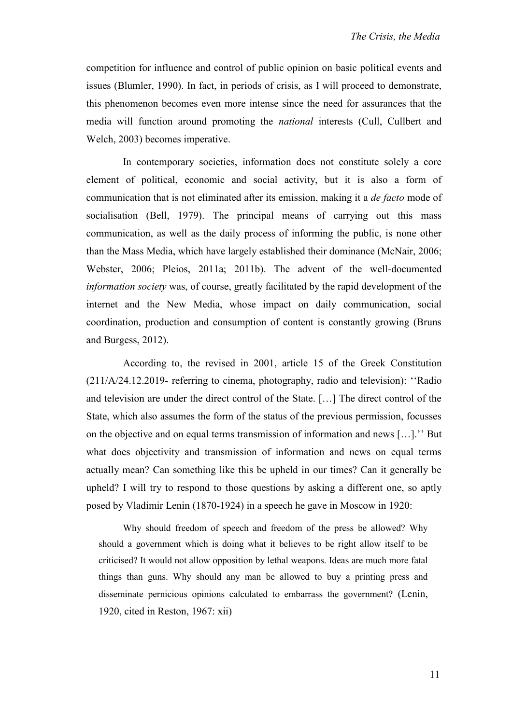competition for influence and control of public opinion on basic political events and issues (Blumler, 1990). In fact, in periods of crisis, as I will proceed to demonstrate, this phenomenon becomes even more intense since the need for assurances that the media will function around promoting the *national* interests (Cull, Cullbert and Welch, 2003) becomes imperative.

In contemporary societies, information does not constitute solely a core element of political, economic and social activity, but it is also a form of communication that is not eliminated after its emission, making it a *de facto* mode of socialisation (Bell, 1979). The principal means of carrying out this mass communication, as well as the daily process of informing the public, is none other than the Mass Media, which have largely established their dominance (McNair, 2006; Webster, 2006; Pleios, 2011a; 2011b). The advent of the well-documented *information society* was, of course, greatly facilitated by the rapid development of the internet and the New Media, whose impact on daily communication, social coordination, production and consumption of content is constantly growing (Bruns and Burgess, 2012).

According to, the revised in 2001, article 15 of the Greek Constitution (211/Α/24.12.2019- referring to cinema, photography, radio and television): ''Radio and television are under the direct control of the State. […] The direct control of the State, which also assumes the form of the status of the previous permission, focusses on the objective and on equal terms transmission of information and news […].'' But what does objectivity and transmission of information and news on equal terms actually mean? Can something like this be upheld in our times? Can it generally be upheld? I will try to respond to those questions by asking a different one, so aptly posed by Vladimir Lenin (1870-1924) in a speech he gave in Moscow in 1920:

Why should freedom of speech and freedom of the press be allowed? Why should a government which is doing what it believes to be right allow itself to be criticised? It would not allow opposition by lethal weapons. Ideas are much more fatal things than guns. Why should any man be allowed to buy a printing press and disseminate pernicious opinions calculated to embarrass the government? (Lenin, 1920, cited in Reston, 1967: xii)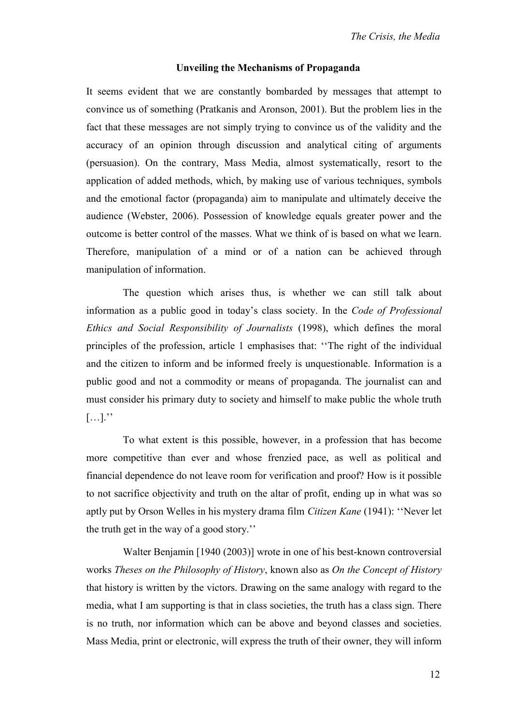## **Unveiling the Mechanisms of Propaganda**

It seems evident that we are constantly bombarded by messages that attempt to convince us of something (Pratkanis and Aronson, 2001). But the problem lies in the fact that these messages are not simply trying to convince us of the validity and the accuracy of an opinion through discussion and analytical citing of arguments (persuasion). On the contrary, Mass Media, almost systematically, resort to the application of added methods, which, by making use of various techniques, symbols and the emotional factor (propaganda) aim to manipulate and ultimately deceive the audience (Webster, 2006). Possession of knowledge equals greater power and the outcome is better control of the masses. What we think of is based on what we learn. Therefore, manipulation of a mind or of a nation can be achieved through manipulation of information.

The question which arises thus, is whether we can still talk about information as a public good in today's class society. In the *Code of Professional Ethics and Social Responsibility of Journalists* (1998), which defines the moral principles of the profession, article 1 emphasises that: ''The right of the individual and the citizen to inform and be informed freely is unquestionable. Information is a public good and not a commodity or means of propaganda. The journalist can and must consider his primary duty to society and himself to make public the whole truth  $[\ldots]$ .''

To what extent is this possible, however, in a profession that has become more competitive than ever and whose frenzied pace, as well as political and financial dependence do not leave room for verification and proof? How is it possible to not sacrifice objectivity and truth on the altar of profit, ending up in what was so aptly put by Orson Welles in his mystery drama film *Citizen Kane* (1941): ''Never let the truth get in the way of a good story.''

Walter Benjamin [1940 (2003)] wrote in one of his best-known controversial works *Theses on the Philosophy of History*, known also as *On the Concept of History* that history is written by the victors. Drawing on the same analogy with regard to the media, what I am supporting is that in class societies, the truth has a class sign. There is no truth, nor information which can be above and beyond classes and societies. Mass Media, print or electronic, will express the truth of their owner, they will inform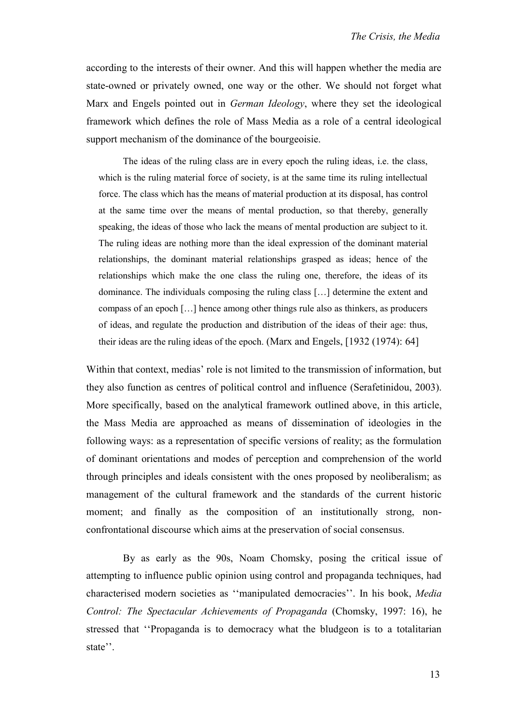according to the interests of their owner. And this will happen whether the media are state-owned or privately owned, one way or the other. We should not forget what Marx and Engels pointed out in *German Ideology*, where they set the ideological framework which defines the role of Mass Media as a role of a central ideological support mechanism of the dominance of the bourgeoisie.

The ideas of the ruling class are in every epoch the ruling ideas, i.e. the class, which is the ruling material force of society, is at the same time its ruling intellectual force. The class which has the means of material production at its disposal, has control at the same time over the means of mental production, so that thereby, generally speaking, the ideas of those who lack the means of mental production are subject to it. The ruling ideas are nothing more than the ideal expression of the dominant material relationships, the dominant material relationships grasped as ideas; hence of the relationships which make the one class the ruling one, therefore, the ideas of its dominance. The individuals composing the ruling class […] determine the extent and compass of an epoch […] hence among other things rule also as thinkers, as producers of ideas, and regulate the production and distribution of the ideas of their age: thus, their ideas are the ruling ideas of the epoch. (Marx and Engels, [1932 (1974): 64]

Within that context, medias' role is not limited to the transmission of information, but they also function as centres of political control and influence (Serafetinidou, 2003). More specifically, based on the analytical framework outlined above, in this article, the Mass Media are approached as means of dissemination of ideologies in the following ways: as a representation of specific versions of reality; as the formulation of dominant orientations and modes of perception and comprehension of the world through principles and ideals consistent with the ones proposed by neoliberalism; as management of the cultural framework and the standards of the current historic moment; and finally as the composition of an institutionally strong, nonconfrontational discourse which aims at the preservation of social consensus.

By as early as the 90s, Noam Chomsky, posing the critical issue of attempting to influence public opinion using control and propaganda techniques, had characterised modern societies as ''manipulated democracies''. In his book, *Media Control: The Spectacular Achievements of Propaganda* (Chomsky, 1997: 16), he stressed that ''Propaganda is to democracy what the bludgeon is to a totalitarian state''.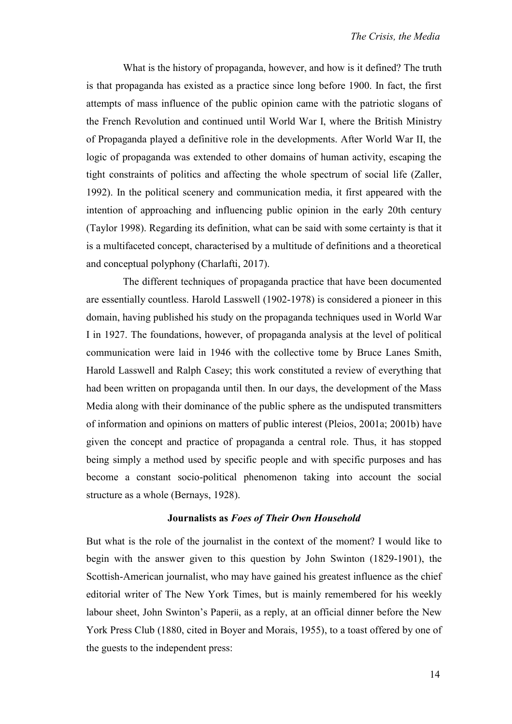What is the history of propaganda, however, and how is it defined? The truth is that propaganda has existed as a practice since long before 1900. In fact, the first attempts of mass influence of the public opinion came with the patriotic slogans of the French Revolution and continued until World War I, where the British Ministry of Propaganda played a definitive role in the developments. After World War II, the logic of propaganda was extended to other domains of human activity, escaping the tight constraints of politics and affecting the whole spectrum of social life (Zaller, 1992). In the political scenery and communication media, it first appeared with the intention of approaching and influencing public opinion in the early 20th century (Taylor 1998). Regarding its definition, what can be said with some certainty is that it is a multifaceted concept, characterised by a multitude of definitions and a theoretical and conceptual polyphony (Charlafti, 2017).

The different techniques of propaganda practice that have been documented are essentially countless. Harold Lasswell (1902-1978) is considered a pioneer in this domain, having published his study on the propaganda techniques used in World War I in 1927. The foundations, however, of propaganda analysis at the level of political communication were laid in 1946 with the collective tome by Bruce Lanes Smith, Harold Lasswell and Ralph Casey; this work constituted a review of everything that had been written on propaganda until then. In our days, the development of the Mass Media along with their dominance of the public sphere as the undisputed transmitters of information and opinions on matters of public interest (Pleios, 2001a; 2001b) have given the concept and practice of propaganda a central role. Thus, it has stopped being simply a method used by specific people and with specific purposes and has become a constant socio-political phenomenon taking into account the social structure as a whole (Bernays, 1928).

## **Journalists as** *Foes of Their Own Household*

But what is the role of the journalist in the context of the moment? I would like to begin with the answer given to this question by John Swinton (1829-1901), the Scottish-American journalist, who may have gained his greatest influence as the chief editorial writer of The New York Times, but is mainly remembered for his weekly labour sheet, John Swinton's Paperii, as a reply, at an official dinner before the New York Press Club (1880, cited in Boyer and Morais, 1955), to a toast offered by one of the guests to the independent press: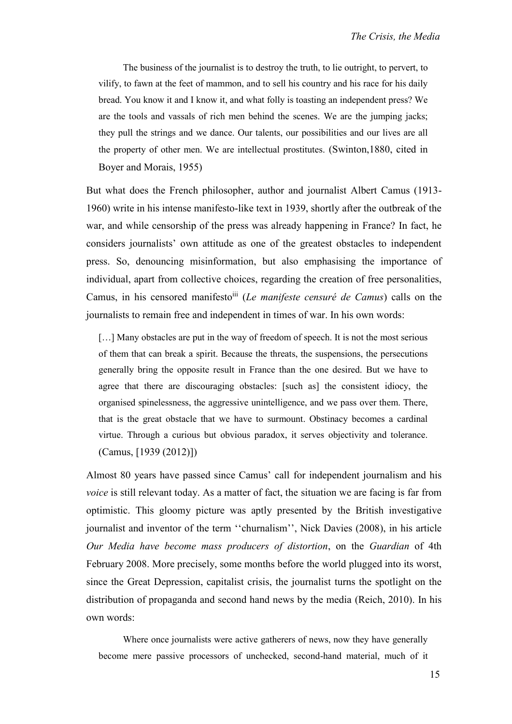The business of the journalist is to destroy the truth, to lie outright, to pervert, to vilify, to fawn at the feet of mammon, and to sell his country and his race for his daily bread. You know it and I know it, and what folly is toasting an independent press? We are the tools and vassals of rich men behind the scenes. We are the jumping jacks; they pull the strings and we dance. Our talents, our possibilities and our lives are all the property of other men. We are intellectual prostitutes. (Swinton,1880, cited in Boyer and Morais, 1955)

But what does the French philosopher, author and journalist Albert Camus (1913- 1960) write in his intense manifesto-like text in 1939, shortly after the outbreak of the war, and while censorship of the press was already happening in France? In fact, he considers journalists' own attitude as one of the greatest obstacles to independent press. So, denouncing misinformation, but also emphasising the importance of individual, apart from collective choices, regarding the creation of free personalities, Camus, in his censored manifestoiii (*Le manifeste censuré de Camus*) calls on the journalists to remain free and independent in times of war. In his own words:

[...] Many obstacles are put in the way of freedom of speech. It is not the most serious of them that can break a spirit. Because the threats, the suspensions, the persecutions generally bring the opposite result in France than the one desired. But we have to agree that there are discouraging obstacles: [such as] the consistent idiocy, the organised spinelessness, the aggressive unintelligence, and we pass over them. There, that is the great obstacle that we have to surmount. Obstinacy becomes a cardinal virtue. Through a curious but obvious paradox, it serves objectivity and tolerance. (Camus, [1939 (2012)])

Almost 80 years have passed since Camus' call for independent journalism and his *voice* is still relevant today. As a matter of fact, the situation we are facing is far from optimistic. This gloomy picture was aptly presented by the British investigative journalist and inventor of the term ''churnalism'', Nick Davies (2008), in his article *Our Media have become mass producers of distortion*, on the *Guardian* of 4th February 2008. More precisely, some months before the world plugged into its worst, since the Great Depression, capitalist crisis, the journalist turns the spotlight on the distribution of propaganda and second hand news by the media (Reich, 2010). In his own words:

Where once journalists were active gatherers of news, now they have generally become mere passive processors of unchecked, second-hand material, much of it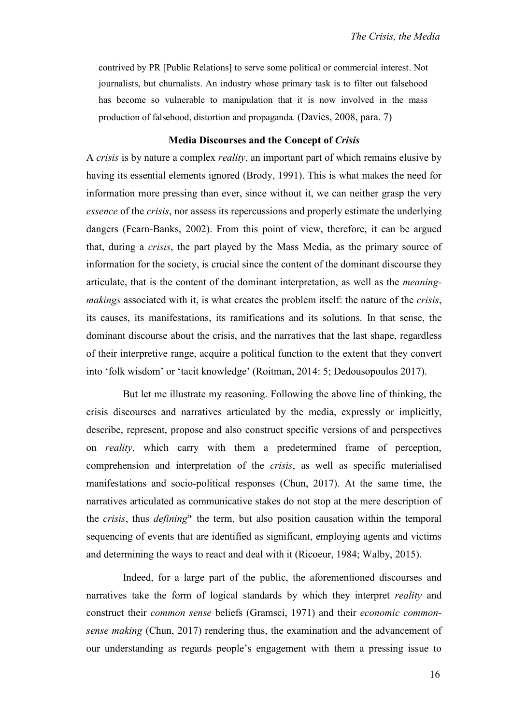contrived by PR [Public Relations] to serve some political or commercial interest. Not journalists, but churnalists. An industry whose primary task is to filter out falsehood has become so vulnerable to manipulation that it is now involved in the mass production of falsehood, distortion and propaganda. (Davies, 2008, para. 7)

## **Media Discourses and the Concept of** *Crisis*

A *crisis* is by nature a complex *reality*, an important part of which remains elusive by having its essential elements ignored (Brody, 1991). This is what makes the need for information more pressing than ever, since without it, we can neither grasp the very *essence* of the *crisis*, nor assess its repercussions and properly estimate the underlying dangers (Fearn-Banks, 2002). From this point of view, therefore, it can be argued that, during a *crisis*, the part played by the Mass Media, as the primary source of information for the society, is crucial since the content of the dominant discourse they articulate, that is the content of the dominant interpretation, as well as the *meaningmakings* associated with it, is what creates the problem itself: the nature of the *crisis*, its causes, its manifestations, its ramifications and its solutions. In that sense, the dominant discourse about the crisis, and the narratives that the last shape, regardless of their interpretive range, acquire a political function to the extent that they convert into 'folk wisdom' or 'tacit knowledge' (Roitman, 2014: 5; Dedousopoulos 2017).

But let me illustrate my reasoning. Following the above line of thinking, the crisis discourses and narratives articulated by the media, expressly or implicitly, describe, represent, propose and also construct specific versions of and perspectives on *reality*, which carry with them a predetermined frame of perception, comprehension and interpretation of the *crisis*, as well as specific materialised manifestations and socio-political responses (Chun, 2017). At the same time, the narratives articulated as communicative stakes do not stop at the mere description of the *crisis*, thus *definingiv* the term, but also position causation within the temporal sequencing of events that are identified as significant, employing agents and victims and determining the ways to react and deal with it (Ricoeur, 1984; Walby, 2015).

Indeed, for a large part of the public, the aforementioned discourses and narratives take the form of logical standards by which they interpret *reality* and construct their *common sense* beliefs (Gramsci, 1971) and their *economic commonsense making* (Chun, 2017) rendering thus, the examination and the advancement of our understanding as regards people's engagement with them a pressing issue to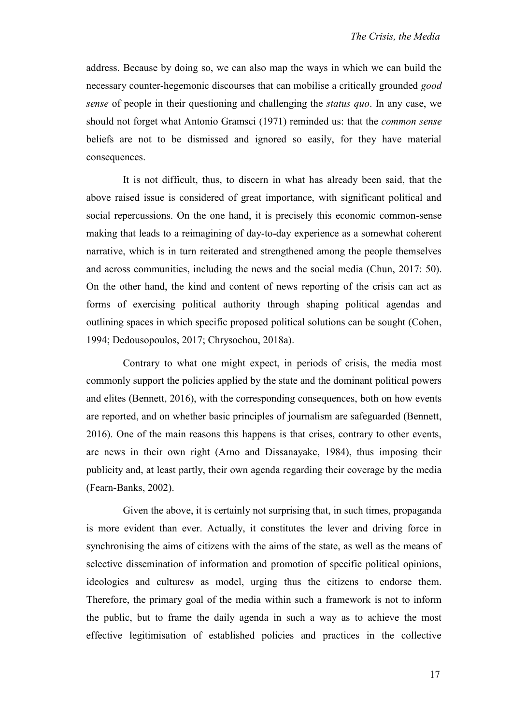address. Because by doing so, we can also map the ways in which we can build the necessary counter-hegemonic discourses that can mobilise a critically grounded *good sense* of people in their questioning and challenging the *status quo*. In any case, we should not forget what Antonio Gramsci (1971) reminded us: that the *common sense* beliefs are not to be dismissed and ignored so easily, for they have material consequences.

It is not difficult, thus, to discern in what has already been said, that the above raised issue is considered of great importance, with significant political and social repercussions. On the one hand, it is precisely this economic common-sense making that leads to a reimagining of day-to-day experience as a somewhat coherent narrative, which is in turn reiterated and strengthened among the people themselves and across communities, including the news and the social media (Chun, 2017: 50). On the other hand, the kind and content of news reporting of the crisis can act as forms of exercising political authority through shaping political agendas and outlining spaces in which specific proposed political solutions can be sought (Cohen, 1994; Dedousopoulos, 2017; Chrysochou, 2018a).

Contrary to what one might expect, in periods of crisis, the media most commonly support the policies applied by the state and the dominant political powers and elites (Bennett, 2016), with the corresponding consequences, both on how events are reported, and on whether basic principles of journalism are safeguarded (Bennett, 2016). One of the main reasons this happens is that crises, contrary to other events, are news in their own right (Arno and Dissanayake, 1984), thus imposing their publicity and, at least partly, their own agenda regarding their coverage by the media (Fearn-Banks, 2002).

Given the above, it is certainly not surprising that, in such times, propaganda is more evident than ever. Actually, it constitutes the lever and driving force in synchronising the aims of citizens with the aims of the state, as well as the means of selective dissemination of information and promotion of specific political opinions, ideologies and culturesv as model, urging thus the citizens to endorse them. Therefore, the primary goal of the media within such a framework is not to inform the public, but to frame the daily agenda in such a way as to achieve the most effective legitimisation of established policies and practices in the collective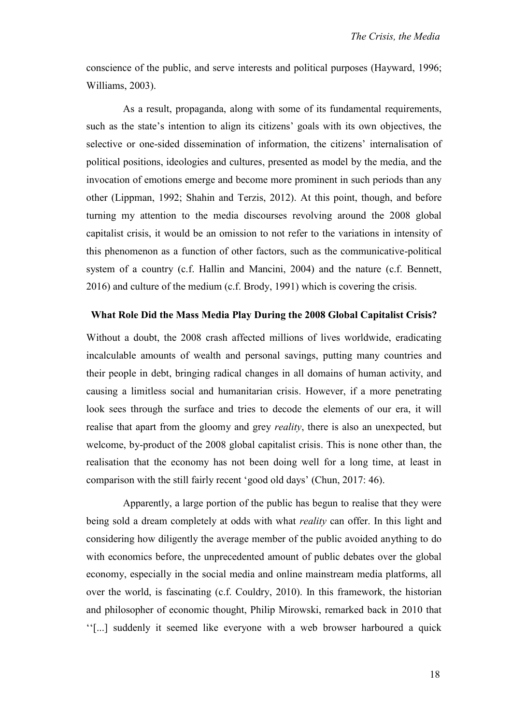conscience of the public, and serve interests and political purposes (Hayward, 1996; Williams, 2003).

As a result, propaganda, along with some of its fundamental requirements, such as the state's intention to align its citizens' goals with its own objectives, the selective or one-sided dissemination of information, the citizens' internalisation of political positions, ideologies and cultures, presented as model by the media, and the invocation of emotions emerge and become more prominent in such periods than any other (Lippman, 1992; Shahin and Terzis, 2012). At this point, though, and before turning my attention to the media discourses revolving around the 2008 global capitalist crisis, it would be an omission to not refer to the variations in intensity of this phenomenon as a function of other factors, such as the communicative-political system of a country (c.f. Hallin and Mancini, 2004) and the nature (c.f. Bennett, 2016) and culture of the medium (c.f. Brody, 1991) which is covering the crisis.

## **What Role Did the Mass Media Play During the 2008 Global Capitalist Crisis?**

Without a doubt, the 2008 crash affected millions of lives worldwide, eradicating incalculable amounts of wealth and personal savings, putting many countries and their people in debt, bringing radical changes in all domains of human activity, and causing a limitless social and humanitarian crisis. However, if a more penetrating look sees through the surface and tries to decode the elements of our era, it will realise that apart from the gloomy and grey *reality*, there is also an unexpected, but welcome, by-product of the 2008 global capitalist crisis. This is none other than, the realisation that the economy has not been doing well for a long time, at least in comparison with the still fairly recent 'good old days' (Chun, 2017: 46).

Apparently, a large portion of the public has begun to realise that they were being sold a dream completely at odds with what *reality* can offer. In this light and considering how diligently the average member of the public avoided anything to do with economics before, the unprecedented amount of public debates over the global economy, especially in the social media and online mainstream media platforms, all over the world, is fascinating (c.f. Couldry, 2010). In this framework, the historian and philosopher of economic thought, Philip Mirowski, remarked back in 2010 that ''[...] suddenly it seemed like everyone with a web browser harboured a quick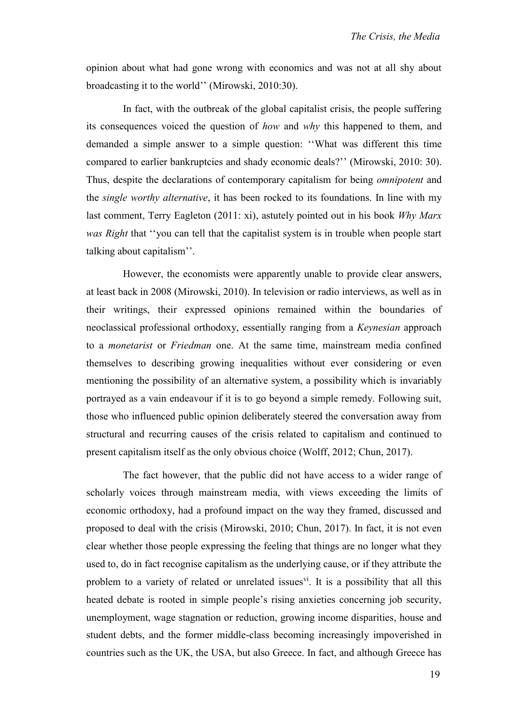opinion about what had gone wrong with economics and was not at all shy about broadcasting it to the world'' (Mirowski, 2010:30).

In fact, with the outbreak of the global capitalist crisis, the people suffering its consequences voiced the question of *how* and *why* this happened to them, and demanded a simple answer to a simple question: ''What was different this time compared to earlier bankruptcies and shady economic deals?'' (Mirowski, 2010: 30). Thus, despite the declarations of contemporary capitalism for being *omnipotent* and the *single worthy alternative*, it has been rocked to its foundations. In line with my last comment, Terry Eagleton (2011: xi), astutely pointed out in his book *Why Marx was Right* that ''you can tell that the capitalist system is in trouble when people start talking about capitalism''.

However, the economists were apparently unable to provide clear answers, at least back in 2008 (Mirowski, 2010). In television or radio interviews, as well as in their writings, their expressed opinions remained within the boundaries of neoclassical professional orthodoxy, essentially ranging from a *Keynesian* approach to a *monetarist* or *Friedman* one. At the same time, mainstream media confined themselves to describing growing inequalities without ever considering or even mentioning the possibility of an alternative system, a possibility which is invariably portrayed as a vain endeavour if it is to go beyond a simple remedy. Following suit, those who influenced public opinion deliberately steered the conversation away from structural and recurring causes of the crisis related to capitalism and continued to present capitalism itself as the only obvious choice (Wolff, 2012; Chun, 2017).

The fact however, that the public did not have access to a wider range of scholarly voices through mainstream media, with views exceeding the limits of economic orthodoxy, had a profound impact on the way they framed, discussed and proposed to deal with the crisis (Mirowski, 2010; Chun, 2017). In fact, it is not even clear whether those people expressing the feeling that things are no longer what they used to, do in fact recognise capitalism as the underlying cause, or if they attribute the problem to a variety of related or unrelated issues<sup>vi</sup>. It is a possibility that all this heated debate is rooted in simple people's rising anxieties concerning job security, unemployment, wage stagnation or reduction, growing income disparities, house and student debts, and the former middle-class becoming increasingly impoverished in countries such as the UK, the USA, but also Greece. In fact, and although Greece has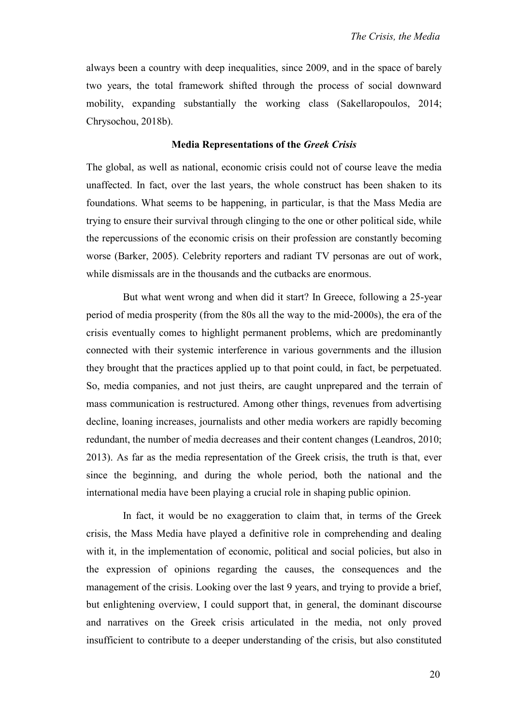always been a country with deep inequalities, since 2009, and in the space of barely two years, the total framework shifted through the process of social downward mobility, expanding substantially the working class (Sakellaropoulos, 2014; Chrysochou, 2018b).

## **Media Representations of the** *Greek Crisis*

The global, as well as national, economic crisis could not of course leave the media unaffected. In fact, over the last years, the whole construct has been shaken to its foundations. What seems to be happening, in particular, is that the Mass Media are trying to ensure their survival through clinging to the one or other political side, while the repercussions of the economic crisis on their profession are constantly becoming worse (Barker, 2005). Celebrity reporters and radiant TV personas are out of work, while dismissals are in the thousands and the cutbacks are enormous.

But what went wrong and when did it start? In Greece, following a 25-year period of media prosperity (from the 80s all the way to the mid-2000s), the era of the crisis eventually comes to highlight permanent problems, which are predominantly connected with their systemic interference in various governments and the illusion they brought that the practices applied up to that point could, in fact, be perpetuated. So, media companies, and not just theirs, are caught unprepared and the terrain of mass communication is restructured. Among other things, revenues from advertising decline, loaning increases, journalists and other media workers are rapidly becoming redundant, the number of media decreases and their content changes (Leandros, 2010; 2013). As far as the media representation of the Greek crisis, the truth is that, ever since the beginning, and during the whole period, both the national and the international media have been playing a crucial role in shaping public opinion.

In fact, it would be no exaggeration to claim that, in terms of the Greek crisis, the Mass Media have played a definitive role in comprehending and dealing with it, in the implementation of economic, political and social policies, but also in the expression of opinions regarding the causes, the consequences and the management of the crisis. Looking over the last 9 years, and trying to provide a brief, but enlightening overview, I could support that, in general, the dominant discourse and narratives on the Greek crisis articulated in the media, not only proved insufficient to contribute to a deeper understanding of the crisis, but also constituted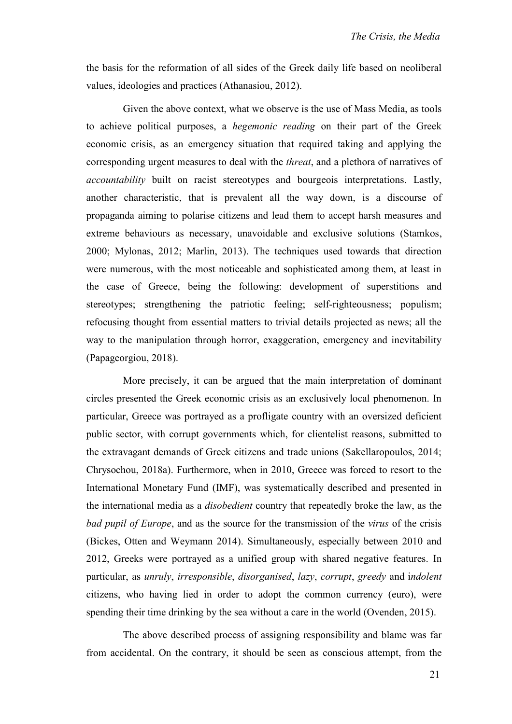the basis for the reformation of all sides of the Greek daily life based on neoliberal values, ideologies and practices (Athanasiou, 2012).

Given the above context, what we observe is the use of Mass Media, as tools to achieve political purposes, a *hegemonic reading* on their part of the Greek economic crisis, as an emergency situation that required taking and applying the corresponding urgent measures to deal with the *threat*, and a plethora of narratives of *accountability* built on racist stereotypes and bourgeois interpretations. Lastly, another characteristic, that is prevalent all the way down, is a discourse of propaganda aiming to polarise citizens and lead them to accept harsh measures and extreme behaviours as necessary, unavoidable and exclusive solutions (Stamkos, 2000; Mylonas, 2012; Marlin, 2013). The techniques used towards that direction were numerous, with the most noticeable and sophisticated among them, at least in the case of Greece, being the following: development of superstitions and stereotypes; strengthening the patriotic feeling; self-righteousness; populism; refocusing thought from essential matters to trivial details projected as news; all the way to the manipulation through horror, exaggeration, emergency and inevitability (Papageorgiou, 2018).

More precisely, it can be argued that the main interpretation of dominant circles presented the Greek economic crisis as an exclusively local phenomenon. In particular, Greece was portrayed as a profligate country with an oversized deficient public sector, with corrupt governments which, for clientelist reasons, submitted to the extravagant demands of Greek citizens and trade unions (Sakellaropoulos, 2014; Chrysochou, 2018a). Furthermore, when in 2010, Greece was forced to resort to the International Monetary Fund (IMF), was systematically described and presented in the international media as a *disobedient* country that repeatedly broke the law, as the *bad pupil of Europe*, and as the source for the transmission of the *virus* of the crisis (Bickes, Otten and Weymann 2014). Simultaneously, especially between 2010 and 2012, Greeks were portrayed as a unified group with shared negative features. In particular, as *unruly*, *irresponsible*, *disorganised*, *lazy*, *corrupt*, *greedy* and i*ndolent* citizens, who having lied in order to adopt the common currency (euro), were spending their time drinking by the sea without a care in the world (Ovenden, 2015).

The above described process of assigning responsibility and blame was far from accidental. On the contrary, it should be seen as conscious attempt, from the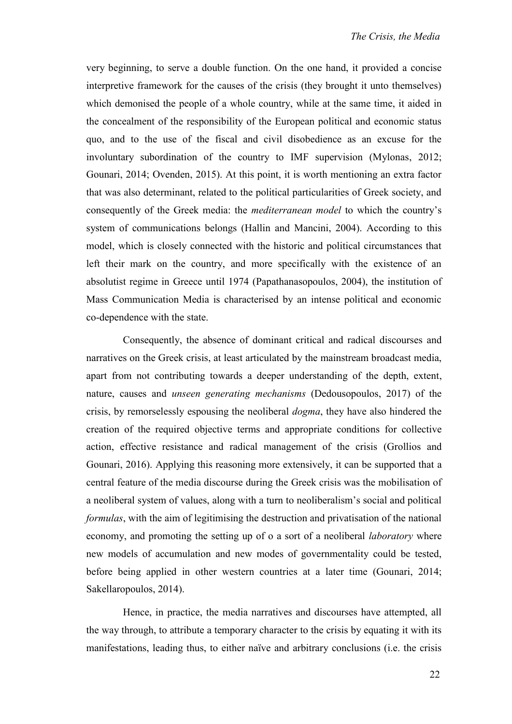very beginning, to serve a double function. On the one hand, it provided a concise interpretive framework for the causes of the crisis (they brought it unto themselves) which demonised the people of a whole country, while at the same time, it aided in the concealment of the responsibility of the European political and economic status quo, and to the use of the fiscal and civil disobedience as an excuse for the involuntary subordination of the country to IMF supervision (Mylonas, 2012; Gounari, 2014; Ovenden, 2015). At this point, it is worth mentioning an extra factor that was also determinant, related to the political particularities of Greek society, and consequently of the Greek media: the *mediterranean model* to which the country's system of communications belongs (Hallin and Mancini, 2004). According to this model, which is closely connected with the historic and political circumstances that left their mark on the country, and more specifically with the existence of an absolutist regime in Greece until 1974 (Papathanasopoulos, 2004), the institution of Mass Communication Media is characterised by an intense political and economic co-dependence with the state.

Consequently, the absence of dominant critical and radical discourses and narratives on the Greek crisis, at least articulated by the mainstream broadcast media, apart from not contributing towards a deeper understanding of the depth, extent, nature, causes and *unseen generating mechanisms* (Dedousopoulos, 2017) of the crisis, by remorselessly espousing the neoliberal *dogma*, they have also hindered the creation of the required objective terms and appropriate conditions for collective action, effective resistance and radical management of the crisis (Grollios and Gounari, 2016). Applying this reasoning more extensively, it can be supported that a central feature of the media discourse during the Greek crisis was the mobilisation of a neoliberal system of values, along with a turn to neoliberalism's social and political *formulas*, with the aim of legitimising the destruction and privatisation of the national economy, and promoting the setting up of o a sort of a neoliberal *laboratory* where new models of accumulation and new modes of governmentality could be tested, before being applied in other western countries at a later time (Gounari, 2014; Sakellaropoulos, 2014).

Hence, in practice, the media narratives and discourses have attempted, all the way through, to attribute a temporary character to the crisis by equating it with its manifestations, leading thus, to either naïve and arbitrary conclusions (i.e. the crisis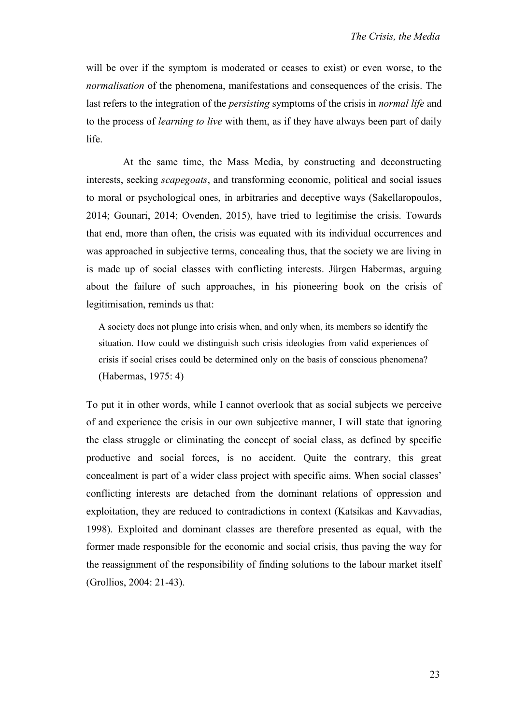will be over if the symptom is moderated or ceases to exist) or even worse, to the *normalisation* of the phenomena, manifestations and consequences of the crisis. The last refers to the integration of the *persisting* symptoms of the crisis in *normal life* and to the process of *learning to live* with them, as if they have always been part of daily life.

At the same time, the Mass Media, by constructing and deconstructing interests, seeking *scapegoats*, and transforming economic, political and social issues to moral or psychological ones, in arbitraries and deceptive ways (Sakellaropoulos, 2014; Gounari, 2014; Ovenden, 2015), have tried to legitimise the crisis. Towards that end, more than often, the crisis was equated with its individual occurrences and was approached in subjective terms, concealing thus, that the society we are living in is made up of social classes with conflicting interests. Jürgen Habermas, arguing about the failure of such approaches, in his pioneering book on the crisis of legitimisation, reminds us that:

A society does not plunge into crisis when, and only when, its members so identify the situation. How could we distinguish such crisis ideologies from valid experiences of crisis if social crises could be determined only on the basis of conscious phenomena? (Habermas, 1975: 4)

To put it in other words, while I cannot overlook that as social subjects we perceive of and experience the crisis in our own subjective manner, I will state that ignoring the class struggle or eliminating the concept of social class, as defined by specific productive and social forces, is no accident. Quite the contrary, this great concealment is part of a wider class project with specific aims. When social classes' conflicting interests are detached from the dominant relations of oppression and exploitation, they are reduced to contradictions in context (Katsikas and Kavvadias, 1998). Exploited and dominant classes are therefore presented as equal, with the former made responsible for the economic and social crisis, thus paving the way for the reassignment of the responsibility of finding solutions to the labour market itself (Grollios, 2004: 21-43).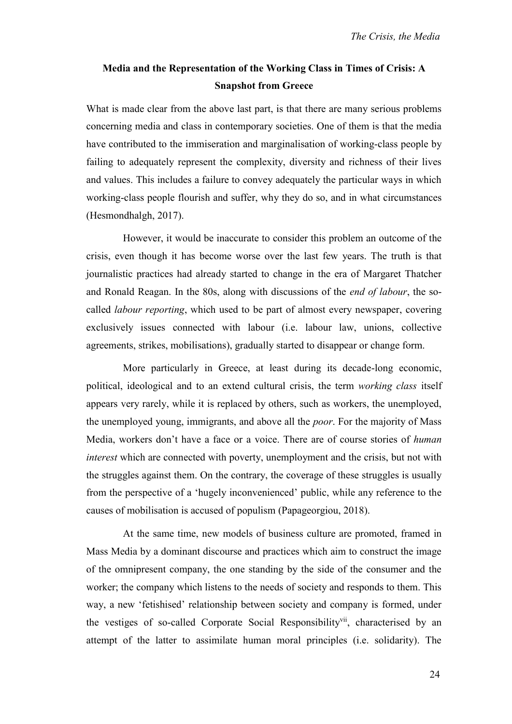## **Media and the Representation of the Working Class in Times of Crisis: A Snapshot from Greece**

What is made clear from the above last part, is that there are many serious problems concerning media and class in contemporary societies. One of them is that the media have contributed to the immiseration and marginalisation of working-class people by failing to adequately represent the complexity, diversity and richness of their lives and values. This includes a failure to convey adequately the particular ways in which working-class people flourish and suffer, why they do so, and in what circumstances (Hesmondhalgh, 2017).

However, it would be inaccurate to consider this problem an outcome of the crisis, even though it has become worse over the last few years. The truth is that journalistic practices had already started to change in the era of Margaret Thatcher and Ronald Reagan. In the 80s, along with discussions of the *end of labour*, the socalled *labour reporting*, which used to be part of almost every newspaper, covering exclusively issues connected with labour (i.e. labour law, unions, collective agreements, strikes, mobilisations), gradually started to disappear or change form.

More particularly in Greece, at least during its decade-long economic, political, ideological and to an extend cultural crisis, the term *working class* itself appears very rarely, while it is replaced by others, such as workers, the unemployed, the unemployed young, immigrants, and above all the *poor*. For the majority of Mass Media, workers don't have a face or a voice. There are of course stories of *human interest* which are connected with poverty, unemployment and the crisis, but not with the struggles against them. On the contrary, the coverage of these struggles is usually from the perspective of a 'hugely inconvenienced' public, while any reference to the causes of mobilisation is accused of populism (Papageorgiou, 2018).

At the same time, new models of business culture are promoted, framed in Mass Media by a dominant discourse and practices which aim to construct the image of the omnipresent company, the one standing by the side of the consumer and the worker; the company which listens to the needs of society and responds to them. This way, a new 'fetishised' relationship between society and company is formed, under the vestiges of so-called Corporate Social Responsibility<sup>vii</sup>, characterised by an attempt of the latter to assimilate human moral principles (i.e. solidarity). The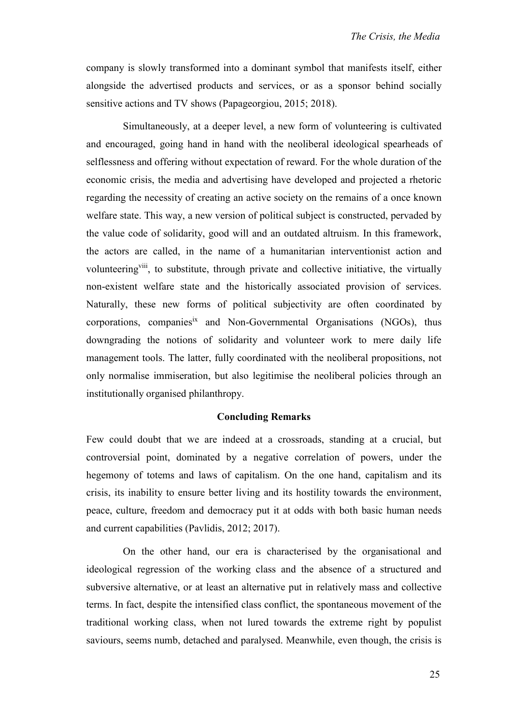company is slowly transformed into a dominant symbol that manifests itself, either alongside the advertised products and services, or as a sponsor behind socially sensitive actions and TV shows (Papageorgiou, 2015; 2018).

Simultaneously, at a deeper level, a new form of volunteering is cultivated and encouraged, going hand in hand with the neoliberal ideological spearheads of selflessness and offering without expectation of reward. For the whole duration of the economic crisis, the media and advertising have developed and projected a rhetoric regarding the necessity of creating an active society on the remains of a once known welfare state. This way, a new version of political subject is constructed, pervaded by the value code of solidarity, good will and an outdated altruism. In this framework, the actors are called, in the name of a humanitarian interventionist action and volunteering viii, to substitute, through private and collective initiative, the virtually non-existent welfare state and the historically associated provision of services. Naturally, these new forms of political subjectivity are often coordinated by corporations, companies<sup>ix</sup> and Non-Governmental Organisations (NGOs), thus downgrading the notions of solidarity and volunteer work to mere daily life management tools. The latter, fully coordinated with the neoliberal propositions, not only normalise immiseration, but also legitimise the neoliberal policies through an institutionally organised philanthropy.

## **Concluding Remarks**

Few could doubt that we are indeed at a crossroads, standing at a crucial, but controversial point, dominated by a negative correlation of powers, under the hegemony of totems and laws of capitalism. On the one hand, capitalism and its crisis, its inability to ensure better living and its hostility towards the environment, peace, culture, freedom and democracy put it at odds with both basic human needs and current capabilities (Pavlidis, 2012; 2017).

On the other hand, our era is characterised by the organisational and ideological regression of the working class and the absence of a structured and subversive alternative, or at least an alternative put in relatively mass and collective terms. In fact, despite the intensified class conflict, the spontaneous movement of the traditional working class, when not lured towards the extreme right by populist saviours, seems numb, detached and paralysed. Meanwhile, even though, the crisis is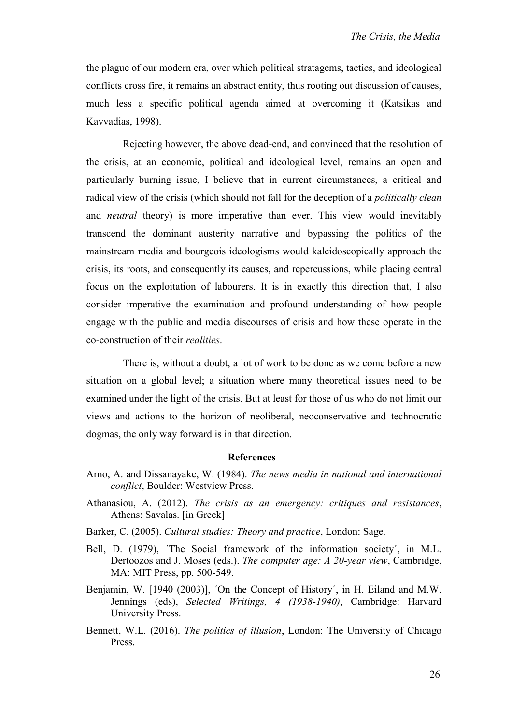the plague of our modern era, over which political stratagems, tactics, and ideological conflicts cross fire, it remains an abstract entity, thus rooting out discussion of causes, much less a specific political agenda aimed at overcoming it (Katsikas and Kavvadias, 1998).

Rejecting however, the above dead-end, and convinced that the resolution of the crisis, at an economic, political and ideological level, remains an open and particularly burning issue, I believe that in current circumstances, a critical and radical view of the crisis (which should not fall for the deception of a *politically clean* and *neutral* theory) is more imperative than ever. This view would inevitably transcend the dominant austerity narrative and bypassing the politics of the mainstream media and bourgeois ideologisms would kaleidoscopically approach the crisis, its roots, and consequently its causes, and repercussions, while placing central focus on the exploitation of labourers. It is in exactly this direction that, I also consider imperative the examination and profound understanding of how people engage with the public and media discourses of crisis and how these operate in the co-construction of their *realities*.

There is, without a doubt, a lot of work to be done as we come before a new situation on a global level; a situation where many theoretical issues need to be examined under the light of the crisis. But at least for those of us who do not limit our views and actions to the horizon of neoliberal, neoconservative and technocratic dogmas, the only way forward is in that direction.

## **References**

- Arno, A. and Dissanayake, W. (1984). *The news media in national and international conflict*, Boulder: Westview Press.
- Athanasiou, A. (2012). *The crisis as an emergency: critiques and resistances*, Athens: Savalas. [in Greek]
- Barker, C. (2005). *Cultural studies: Theory and practice*, London: Sage.
- Bell, D. (1979), ´The Social framework of the information society´, in M.L. Dertoozos and J. Moses (eds.). *The computer age: A 20-year view*, Cambridge, MA: MIT Press, pp. 500-549.
- Benjamin, W. [1940 (2003)], ´On the Concept of History´, in H. Eiland and M.W. Jennings (eds), *Selected Writings, 4 (1938-1940)*, Cambridge: Harvard University Press.
- Bennett, W.L. (2016). *The politics of illusion*, London: The University of Chicago Press.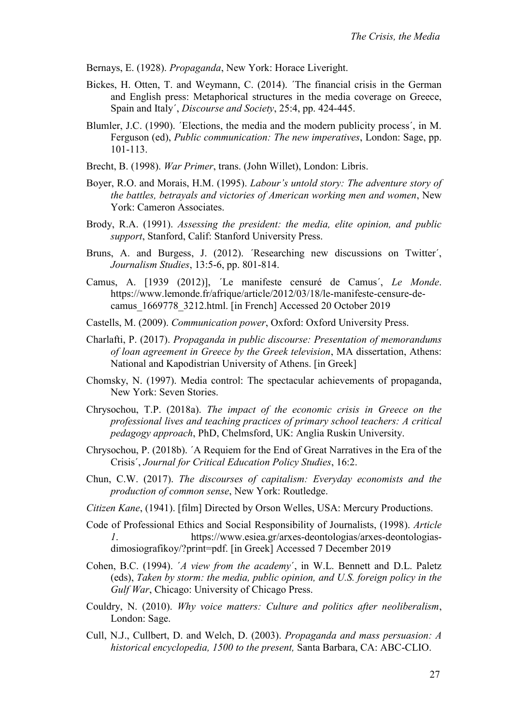- Bernays, E. (1928). *Propaganda*, New York: Horace Liveright.
- Bickes, H. Otten, T. and Weymann, C. (2014). ´The financial crisis in the German and English press: Metaphorical structures in the media coverage on Greece, Spain and Italy´, *Discourse and Society*, 25:4, pp. 424-445.
- Blumler, J.C. (1990). ´Elections, the media and the modern publicity process´, in M. Ferguson (ed), *Public communication: The new imperatives*, London: Sage, pp. 101-113.
- Brecht, B. (1998). *War Primer*, trans. (John Willet), London: Libris.
- Boyer, R.O. and Morais, H.M. (1995). *Labour's untold story: The adventure story of the battles, betrayals and victories of American working men and women*, New York: Cameron Associates.
- Brody, R.A. (1991). *Assessing the president: the media, elite opinion, and public support*, Stanford, Calif: Stanford University Press.
- Bruns, A. and Burgess, J. (2012). ´Researching new discussions on Twitter´, *Journalism Studies*, 13:5-6, pp. 801-814.
- Camus, A. [1939 (2012)], ´Le manifeste censuré de Camus´, *Le Monde*. https://www.lemonde.fr/afrique/article/2012/03/18/le-manifeste-censure-decamus\_1669778\_3212.html. [in French] Accessed 20 October 2019
- Castells, M. (2009). *Communication power*, Oxford: Oxford University Press.
- Charlafti, P. (2017). *Propaganda in public discourse: Presentation of memorandums of loan agreement in Greece by the Greek television*, MA dissertation, Athens: National and Kapodistrian University of Athens. [in Greek]
- Chomsky, N. (1997). Media control: The spectacular achievements of propaganda, New York: Seven Stories.
- Chrysochou, T.P. (2018a). *The impact of the economic crisis in Greece on the professional lives and teaching practices of primary school teachers: A critical pedagogy approach*, PhD, Chelmsford, UK: Anglia Ruskin University.
- Chrysochou, P. (2018b). ´A Requiem for the End of Great Narratives in the Era of the Crisis´, *Journal for Critical Education Policy Studies*, 16:2.
- Chun, C.W. (2017). *The discourses of capitalism: Everyday economists and the production of common sense*, New York: Routledge.
- *Citizen Kane*, (1941). [film] Directed by Orson Welles, USA: Mercury Productions.
- Code of Professional Ethics and Social Responsibility of Journalists, (1998). *Article 1*. https://www.esiea.gr/arxes-deontologias/arxes-deontologiasdimosiografikoy/?print=pdf. [in Greek] Accessed 7 December 2019
- Cohen, B.C. (1994). ´*A view from the academy*´, in W.L. Bennett and D.L. Paletz (eds), *Taken by storm: the media, public opinion, and U.S. foreign policy in the Gulf War*, Chicago: University of Chicago Press.
- Couldry, N. (2010). *Why voice matters: Culture and politics after neoliberalism*, London: Sage.
- Cull, N.J., Cullbert, D. and Welch, D. (2003). *Propaganda and mass persuasion: A historical encyclopedia, 1500 to the present,* Santa Barbara, CA: ABC-CLIO.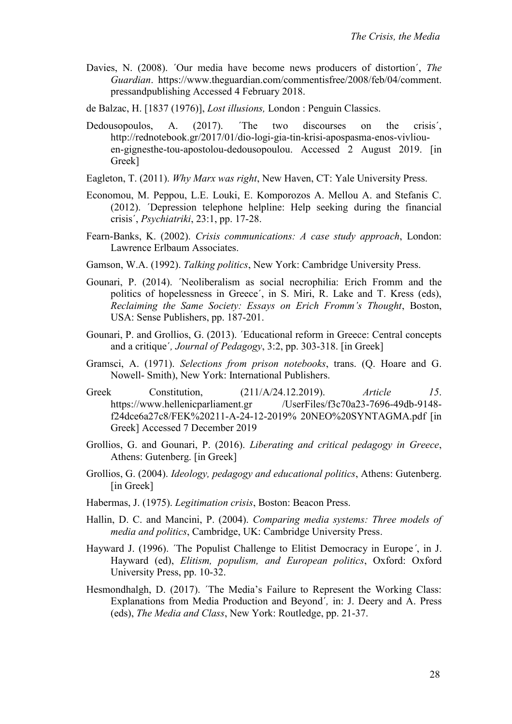Davies, N. (2008). ´Our media have become news producers of distortion´, *The Guardian*. [https://www.theguardian.com/commentisfree/2008/feb/04/comment.](https://www.theguardian.com/commentisfree/2008/feb/04/comment.%20pressandpublishing)  [pressandpublishing](https://www.theguardian.com/commentisfree/2008/feb/04/comment.%20pressandpublishing) Accessed 4 February 2018.

de Balzac, H. [1837 (1976)], *Lost illusions,* London : Penguin Classics.

- Dedousopoulos, A. (2017). The two discourses on the crisis', [http://rednotebook.gr/2017/01/dio-logi-gia-tin-krisi-apospasma-enos-vivliou](http://rednotebook.gr/2017/01/dio-logi-gia-tin-krisi-apospasma-enos-vivliou-en-gignesthe-tou-apostolou-dedousopoulou)[en-gignesthe-tou-apostolou-dedousopoulou.](http://rednotebook.gr/2017/01/dio-logi-gia-tin-krisi-apospasma-enos-vivliou-en-gignesthe-tou-apostolou-dedousopoulou) Accessed 2 August 2019. [in Greek]
- Eagleton, T. (2011). *Why Marx was right*, New Haven, CT: Yale University Press.
- Economou, M. Peppou, L.E. Louki, E. Komporozos A. Mellou A. and Stefanis C. (2012). ´Depression telephone helpline: Help seeking during the financial crisis´, *Psychiatriki*, 23:1, pp. 17-28.
- Fearn-Banks, K. (2002). *Crisis communications: A case study approach*, London: Lawrence Erlbaum Associates.
- Gamson, W.A. (1992). *Talking politics*, New York: Cambridge University Press.
- Gounari, P. (2014). ´Neoliberalism as social necrophilia: Erich Fromm and the politics of hopelessness in Greece´, in S. Miri, R. Lake and T. Kress (eds), *Reclaiming the Same Society: Essays on Erich Fromm's Thought*, Boston, USA: Sense Publishers, pp. 187-201.
- Gounari, P. and Grollios, G. (2013). ´Educational reform in Greece: Central concepts and a critique´*, Journal of Pedagogy*, 3:2, pp. 303-318. [in Greek]
- Gramsci, A. (1971). *Selections from prison notebooks*, trans. (Q. Hoare and G. Nowell- Smith), New York: International Publishers.
- Greek Constitution, (211/Α/24.12.2019). *Article 15*. https://www.hellenicparliament.gr /UserFiles/f3c70a23-7696-49db-9148f24dce6a27c8/FEK%20211-A-24-12-2019% 20NEO%20SYNTAGMA.pdf [in Greek] Accessed 7 December 2019
- Grollios, G. and Gounari, P. (2016). *Liberating and critical pedagogy in Greece*, Athens: Gutenberg. [in Greek]
- Grollios, G. (2004). *Ideology, pedagogy and educational politics*, Athens: Gutenberg. [in Greek]
- Habermas, J. (1975). *Legitimation crisis*, Boston: Beacon Press.
- Hallin, D. C. and Mancini, P. (2004). *Comparing media systems: Three models of media and politics*, Cambridge, UK: Cambridge University Press.
- Hayward J. (1996). ´The Populist Challenge to Elitist Democracy in Europe*´*, in J. Hayward (ed), *Elitism, populism, and European politics*, Oxford: Oxford University Press, pp. 10-32.
- Hesmondhalgh, D. (2017). 'The Media's Failure to Represent the Working Class: Explanations from Media Production and Beyond´*,* in: J. Deery and A. Press (eds), *The Media and Class*, New York: Routledge, pp. 21-37.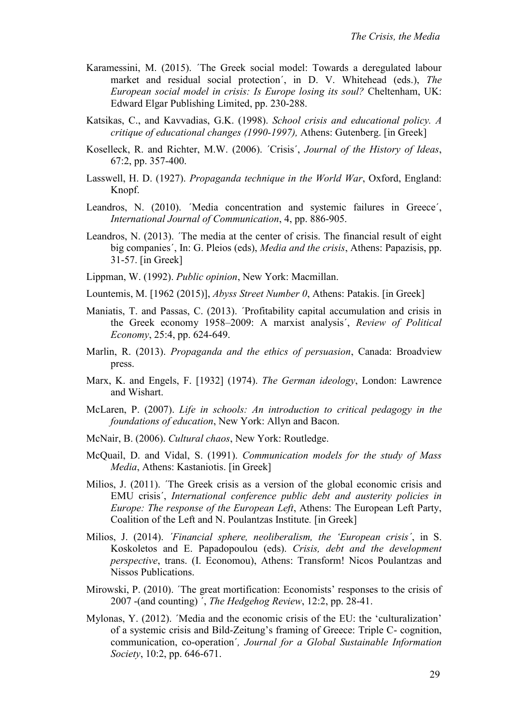- Karamessini, M. (2015). ´The Greek social model: Towards a deregulated labour market and residual social protection´, in D. V. Whitehead (eds.), *The European social model in crisis: Is Europe losing its soul?* Cheltenham, UK: Edward Elgar Publishing Limited, pp. 230-288.
- Katsikas, C., and Kavvadias, G.K. (1998). *School crisis and educational policy. A critique of educational changes (1990-1997),* Athens: Gutenberg. [in Greek]
- Koselleck, R. and Richter, M.W. (2006). ´Crisis´, *Journal of the History of Ideas*, 67:2, pp. 357-400.
- Lasswell, H. D. (1927). *Propaganda technique in the World War*, Oxford, England: Knopf.
- Leandros, N. (2010). 'Media concentration and systemic failures in Greece', *International Journal of Communication*, 4, pp. 886-905.
- Leandros, N. (2013). ´The media at the center of crisis. The financial result of eight big companies´, In: G. Pleios (eds), *Media and the crisis*, Athens: Papazisis, pp. 31-57. [in Greek]
- Lippman, W. (1992). *Public opinion*, New York: Macmillan.
- Lountemis, M. [1962 (2015)], *Abyss Street Number 0*, Athens: Patakis. [in Greek]
- Maniatis, T. and Passas, C. (2013). ´Profitability capital accumulation and crisis in the Greek economy 1958–2009: A marxist analysis´, *Review of Political Economy*, 25:4, pp. 624-649.
- Marlin, R. (2013). *Propaganda and the ethics of persuasion*, Canada: Broadview press.
- Marx, K. and Engels, F. [1932] (1974). *The German ideology*, London: Lawrence and Wishart.
- McLaren, P. (2007). *Life in schools: An introduction to critical pedagogy in the foundations of education*, New York: Allyn and Bacon.
- McNair, B. (2006). *Cultural chaos*, New York: Routledge.
- McQuail, D. and Vidal, S. (1991). *Communication models for the study of Mass Media*, Athens: Kastaniotis. [in Greek]
- Milios, J. (2011). ´The Greek crisis as a version of the global economic crisis and EMU crisis´, *International conference public debt and austerity policies in Europe: The response of the European Left*, Athens: The European Left Party, Coalition of the Left and N. Poulantzas Institute*.* [in Greek]
- Milios, J. (2014). *´Financial sphere, neoliberalism, the 'European crisis´*, in S. Koskoletos and E. Papadopoulou (eds). *Crisis, debt and the development perspective*, trans. (I. Economou), Athens: Transform! Nicos Poulantzas and Nissos Publications.
- Mirowski, P. (2010). ´The great mortification: Economists' responses to the crisis of 2007 -(and counting) ´, *The Hedgehog Review*, 12:2, pp. 28-41.
- Mylonas, Y. (2012). ´Media and the economic crisis of the EU: the 'culturalization' of a systemic crisis and Bild-Zeitung's framing of Greece: Triple C- cognition, communication, co-operation´*, Journal for a Global Sustainable Information Society*, 10:2, pp. 646-671.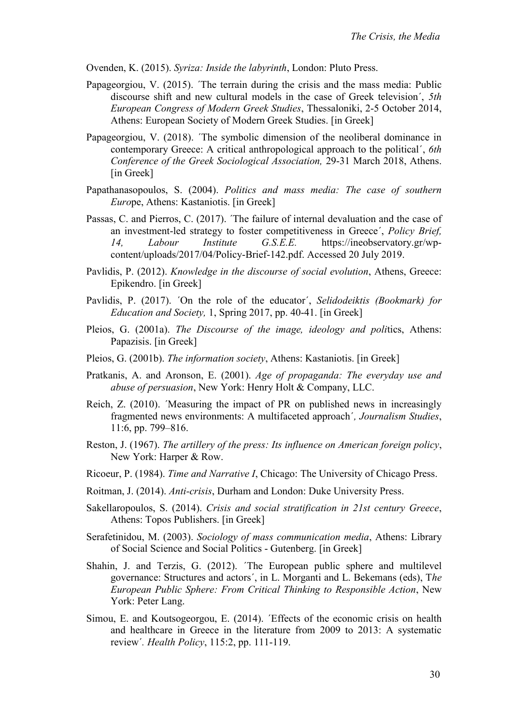Ovenden, K. (2015). *Syriza: Inside the labyrinth*, London: Pluto Press.

- Papageorgiou, V. (2015). ´The terrain during the crisis and the mass media: Public discourse shift and new cultural models in the case of Greek television´, *5th European Congress of Modern Greek Studies*, Thessaloniki, 2-5 October 2014, Athens: European Society of Modern Greek Studies. [in Greek]
- Papageorgiou, V. (2018). ´The symbolic dimension of the neoliberal dominance in contemporary Greece: A critical anthropological approach to the political´, *6th Conference of the Greek Sociological Association,* 29-31 March 2018, Athens. [in Greek]
- Papathanasopoulos, S. (2004). *Politics and mass media: The case of southern Euro*pe, Athens: Kastaniotis. [in Greek]
- Passas, C. and Pierros, C. (2017). ´The failure of internal devaluation and the case of an investment-led strategy to foster competitiveness in Greece´, *Policy Brief, 14, Labour Institute G.S.E.E.* [https://ineobservatory.gr/wp](https://ineobservatory.gr/wp-content/uploads/2017/04/Policy-Brief-142.pdf)[content/uploads/2017/04/Policy-Brief-142.pdf.](https://ineobservatory.gr/wp-content/uploads/2017/04/Policy-Brief-142.pdf) Accessed 20 July 2019.
- Pavlidis, P. (2012). *Knowledge in the discourse of social evolution*, Athens, Greece: Epikendro. [in Greek]
- Pavlidis, P. (2017). ´On the role of the educator´, *Selidodeiktis (Bookmark) for Education and Society,* 1, Spring 2017, pp. 40-41. [in Greek]
- Pleios, G. (2001a). *The Discourse of the image, ideology and poli*tics, Athens: Papazisis. [in Greek]
- Pleios, G. (2001b). *The information society*, Athens: Kastaniotis. [in Greek]
- Pratkanis, A. and Aronson, E. (2001). *Age of propaganda: The everyday use and abuse of persuasion*, New York: Henry Holt & Company, LLC.
- Reich, Z. (2010). ´Measuring the impact of PR on published news in increasingly fragmented news environments: A multifaceted approach´*, Journalism Studies*, 11:6, pp. 799–816.
- Reston, J. (1967). *The artillery of the press: Its influence on American foreign policy*, New York: Harper & Row.
- Ricoeur, P. (1984). *Time and Narrative I*, Chicago: The University of Chicago Press.
- Roitman, J. (2014). *Anti-crisis*, Durham and London: Duke University Press.
- Sakellaropoulos, S. (2014). *Crisis and social stratification in 21st century Greece*, Athens: Topos Publishers. [in Greek]
- Serafetinidou, M. (2003). *Sociology of mass communication media*, Athens: Library of Social Science and Social Politics - Gutenberg. [in Greek]
- Shahin, J. and Terzis, G. (2012). ´The European public sphere and multilevel governance: Structures and actors´, in L. Morganti and L. Bekemans (eds), T*he European Public Sphere: From Critical Thinking to Responsible Action*, New York: Peter Lang.
- Simou, E. and Koutsogeorgou, E. (2014). ´Effects of the economic crisis on health and healthcare in Greece in the literature from 2009 to 2013: A systematic review´*. Health Policy*, 115:2, pp. 111-119.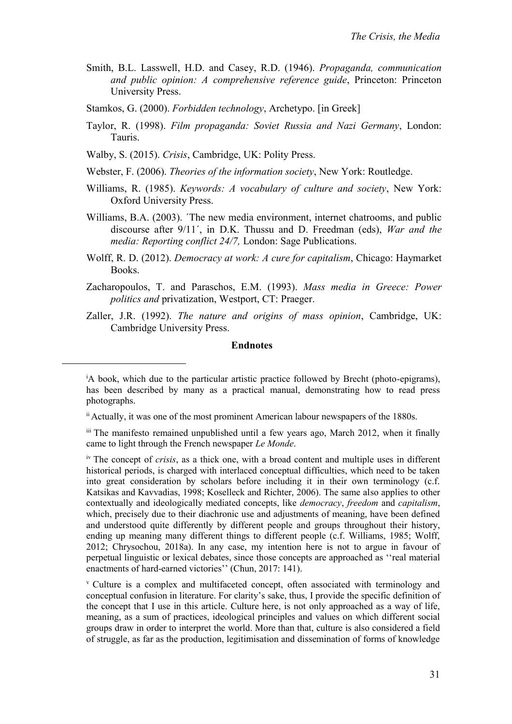- Smith, B.L. Lasswell, H.D. and Casey, R.D. (1946). *Propaganda, communication and public opinion: A comprehensive reference guide*, Princeton: Princeton University Press.
- Stamkos, G. (2000). *Forbidden technology*, Archetypo. [in Greek]
- Taylor, R. (1998). *Film propaganda: Soviet Russia and Nazi Germany*, London: Tauris.
- Walby, S. (2015). *Crisis*, Cambridge, UK: Polity Press.

 $\overline{a}$ 

- Webster, F. (2006). *Theories of the information society*, New York: Routledge.
- Williams, R. (1985). *Keywords: A vocabulary of culture and society*, New York: Oxford University Press.
- Williams, B.A. (2003). ´The new media environment, internet chatrooms, and public discourse after 9/11´, in D.K. Thussu and D. Freedman (eds), *War and the media: Reporting conflict 24/7,* London: Sage Publications.
- Wolff, R. D. (2012). *Democracy at work: A cure for capitalism*, Chicago: Haymarket Books.
- Zacharopoulos, T. and Paraschos, E.M. (1993). *Mass media in Greece: Power politics and* privatization, Westport, CT: Praeger.
- Zaller, J.R. (1992). *The nature and origins of mass opinion*, Cambridge, UK: Cambridge University Press.

## **Endnotes**

iv The concept of *crisis*, as a thick one, with a broad content and multiple uses in different historical periods, is charged with interlaced conceptual difficulties, which need to be taken into great consideration by scholars before including it in their own terminology (c.f. Katsikas and Kavvadias, 1998; Koselleck and Richter, 2006). The same also applies to other contextually and ideologically mediated concepts, like *democracy*, *freedom* and *capitalism*, which, precisely due to their diachronic use and adjustments of meaning, have been defined and understood quite differently by different people and groups throughout their history, ending up meaning many different things to different people (c.f. Williams, 1985; Wolff, 2012; Chrysochou, 2018a). In any case, my intention here is not to argue in favour of perpetual linguistic or lexical debates, since those concepts are approached as ''real material enactments of hard-earned victories'' (Chun, 2017: 141).

<sup>v</sup> Culture is a complex and multifaceted concept, often associated with terminology and conceptual confusion in literature. For clarity's sake, thus, I provide the specific definition of the concept that I use in this article. Culture here, is not only approached as a way of life, meaning, as a sum of practices, ideological principles and values on which different social groups draw in order to interpret the world. More than that, culture is also considered a field of struggle, as far as the production, legitimisation and dissemination of forms of knowledge

<sup>&</sup>lt;sup>i</sup>A book, which due to the particular artistic practice followed by Brecht (photo-epigrams), has been described by many as a practical manual, demonstrating how to read press photographs.

ii Actually, it was one of the most prominent American labour newspapers of the 1880s.

iii The manifesto remained unpublished until a few years ago, March 2012, when it finally came to light through the French newspaper *Le Monde*.